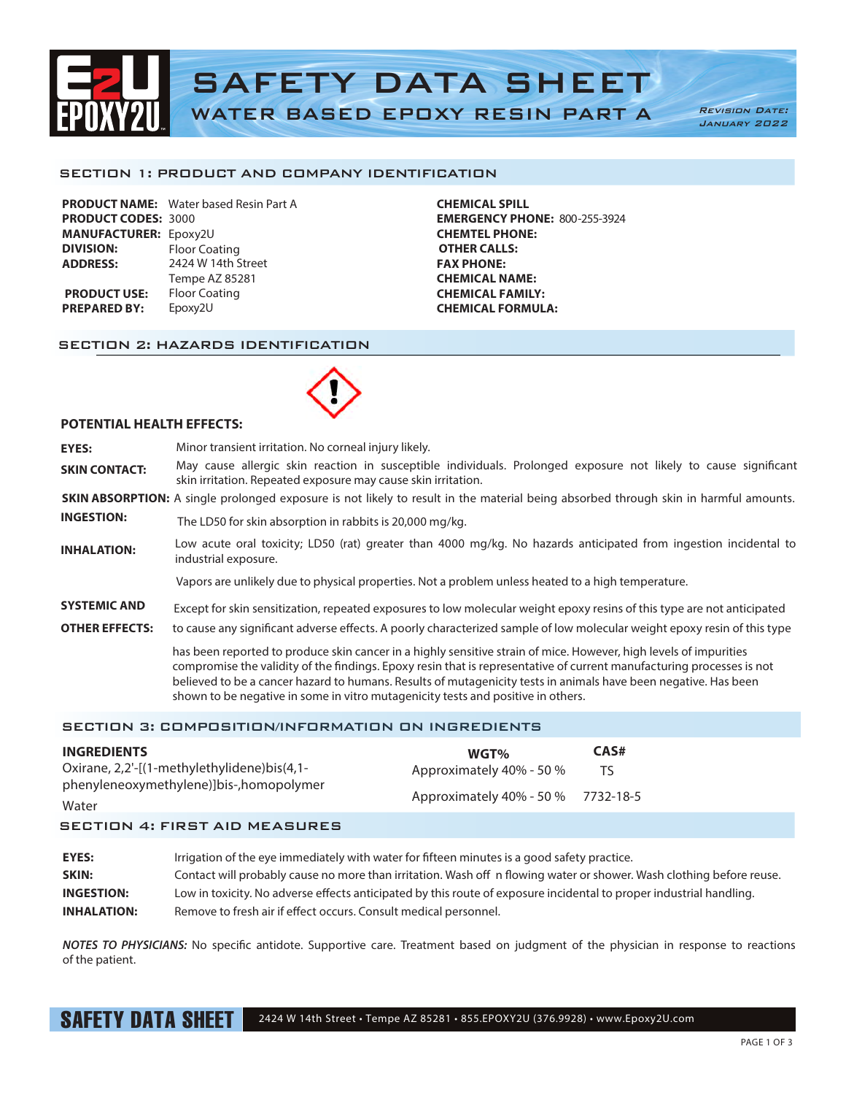

SECTION 1: PRODUCT AND COMPANY IDENTIFICATION

|                              | <b>PRODUCT NAME:</b> Water based Resin Part A |
|------------------------------|-----------------------------------------------|
| <b>PRODUCT CODES: 3000</b>   |                                               |
| <b>MANUFACTURER: Epoxy2U</b> |                                               |
| <b>DIVISION:</b>             | <b>Floor Coating</b>                          |
| <b>ADDRESS:</b>              | 2424 W 14th Street                            |
|                              | Tempe AZ 85281                                |
| <b>PRODUCT USE:</b>          | <b>Floor Coating</b>                          |
| <b>PREPARED BY:</b>          | Epoxy2U                                       |
|                              |                                               |

**CHEMICAL SPILL EMERGENCY PHONE:** 800-255-3924 **CHEMTEL PHONE: OTHER CALLS: FAX PHONE: CHEMICAL NAME: CHEMICAL FAMILY: CHEMICAL FORMULA:**

### SECTION 2: HAZARDS IDENTIFICATION



#### **POTENTIAL HEALTH EFFECTS:**

**EYES:** Minor transient irritation. No corneal injury likely. **SKIN CONTACT:** May cause allergic skin reaction in susceptible individuals. Prolonged exposure not likely to cause significant skin irritation. Repeated exposure may cause skin irritation.

**SKIN ABSORPTION:** A single prolonged exposure is not likely to result in the material being absorbed through skin in harmful amounts.

**INGESTION:** The LD50 for skin absorption in rabbits is 20,000 mg/kg.

Low acute oral toxicity; LD50 (rat) greater than 4000 mg/kg. No hazards anticipated from ingestion incidental to **INHALATION:** Low acute oral tox

Vapors are unlikely due to physical properties. Not a problem unless heated to a high temperature.

- **SYSTEMIC AND** Except for skin sensitization, repeated exposures to low molecular weight epoxy resins of this type are not anticipated
- **OTHER EFFECTS:** to cause any significant adverse effects. A poorly characterized sample of low molecular weight epoxy resin of this type

has been reported to produce skin cancer in a highly sensitive strain of mice. However, high levels of impurities compromise the validity of the findings. Epoxy resin that is representative of current manufacturing processes is not believed to be a cancer hazard to humans. Results of mutagenicity tests in animals have been negative. Has been shown to be negative in some in vitro mutagenicity tests and positive in others.

## SECTION 3: COMPOSITION/INFORMATION ON INGREDIENTS

| Approximately 40% - 50 %<br>TS<br>Approximately 40% - 50 % 7732-18-5 |
|----------------------------------------------------------------------|
|----------------------------------------------------------------------|

**EYES:** Irrigation of the eye immediately with water for fifteen minutes is a good safety practice. **SKIN:** Contact will probably cause no more than irritation. Wash off n flowing water or shower. Wash clothing before reuse. **INGESTION:** Low in toxicity. No adverse effects anticipated by this route of exposure incidental to proper industrial handling. **INHALATION:** Remove to fresh air if effect occurs. Consult medical personnel.

*NOTES TO PHYSICIANS:* No specific antidote. Supportive care. Treatment based on judgment of the physician in response to reactions of the patient.

SAFETY DATA SHEET 2424 W 14th Street • Tempe AZ 85281 • 855.EPOXY2U (376.9928) • www.Epoxy2U.com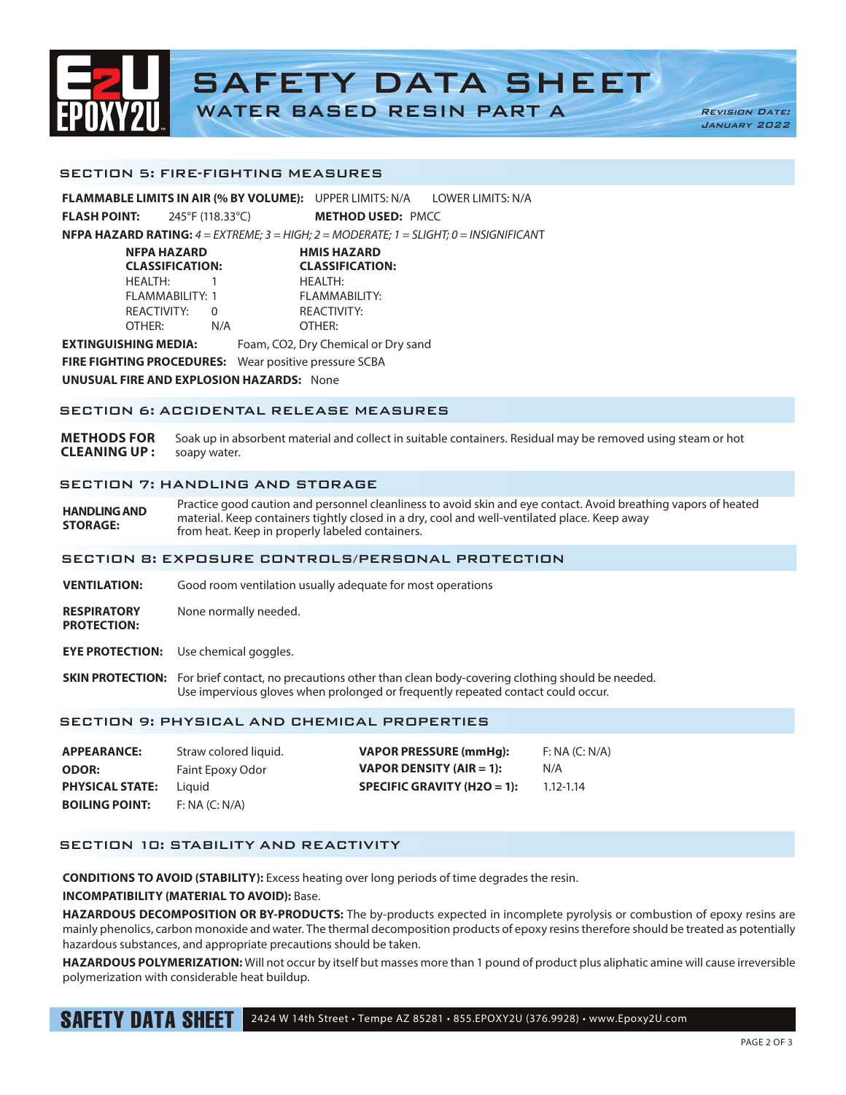

SECTION 5: FIRE-FIGHTING MEASURES

**FLAMMABLE LIMITS IN AIR (% BY VOLUME):** UPPER LIMITS: N/A LOWER LIMITS: N/A **FLASH POINT:** 245°F (118.33°C) **METHOD USED:** PMCC

**NFPA HAZARD RATING:** *4 = EXTREME; 3 = HIGH; 2 = MODERATE; 1 = SLIGHT; 0 = INSIGNIFICAN*T

| NFPA HAZARD<br><b>CLASSIFICATION:</b> |     | <b>HMIS HAZARD</b><br><b>CLASSIFICATION:</b> |  |
|---------------------------------------|-----|----------------------------------------------|--|
| HEALTH:                               |     | <b>HEALTH:</b>                               |  |
| FLAMMABILITY: 1                       |     | FLAMMABILITY:                                |  |
| REACTIVITY:                           |     | REACTIVITY:                                  |  |
| OTHER:                                | N/A | OTHER:                                       |  |
|                                       |     |                                              |  |

**EXTINGUISHING MEDIA:** Foam, CO2, Dry Chemical or Dry sand

**FIRE FIGHTING PROCEDURES:** Wear positive pressure SCBA

**UNUSUAL FIRE AND EXPLOSION HAZARDS:** None

## SECTION 6: ACCIDENTAL RELEASE MEASURES

**METHODS FOR** Soak up in absorbent material and collect in suitable containers. Residual may be removed using steam or hot **CLEANING UP :** soapy water.

### SECTION 7: HANDLING AND STORAGE

**HANDLING AND STORAGE:**  Practice good caution and personnel cleanliness to avoid skin and eye contact. Avoid breathing vapors of heated material. Keep containers tightly closed in a dry, cool and well-ventilated place. Keep away from heat. Keep in properly labeled containers.

#### SECTION 8: EXPOSURE CONTROLS/PERSONAL PROTECTION

**VENTILATION:** Good room ventilation usually adequate for most operations

**RESPIRATORY** None normally needed. **PROTECTION:**

- **EYE PROTECTION:** Use chemical goggles.
- **SKIN PROTECTION:** For brief contact, no precautions other than clean body-covering clothing should be needed. Use impervious gloves when prolonged or frequently repeated contact could occur.

## SECTION 9: PHYSICAL AND CHEMICAL PROPERTIES

| <b>APPEARANCE:</b>     | Straw colored liquid. | <b>VAPOR PRESSURE (mmHq):</b>   | F: NA (C: N/A) |
|------------------------|-----------------------|---------------------------------|----------------|
| <b>ODOR:</b>           | Faint Epoxy Odor      | <b>VAPOR DENSITY (AIR = 1):</b> | N/A            |
| <b>PHYSICAL STATE:</b> | Liauid                | SPECIFIC GRAVITY (H2O = 1):     | $1.12 - 1.14$  |
| <b>BOILING POINT:</b>  | F: NA (C: N/A)        |                                 |                |

# SECTION 10: STABILITY AND REACTIVITY

**CONDITIONS TO AVOID (STABILITY):** Excess heating over long periods of time degrades the resin.

## **INCOMPATIBILITY (MATERIAL TO AVOID):** Base.

**HAZARDOUS DECOMPOSITION OR BY-PRODUCTS:** The by-products expected in incomplete pyrolysis or combustion of epoxy resins are mainly phenolics, carbon monoxide and water. The thermal decomposition products of epoxy resins therefore should be treated as potentially hazardous substances, and appropriate precautions should be taken.

**HAZARDOUS POLYMERIZATION:** Will not occur by itself but masses more than 1 pound of product plus aliphatic amine will cause irreversible polymerization with considerable heat buildup.

SAFETY DATA SHEET 2424 W 14th Street • Tempe AZ 85281 • 855.EPOXY2U (376.9928) • www.Epoxy2U.com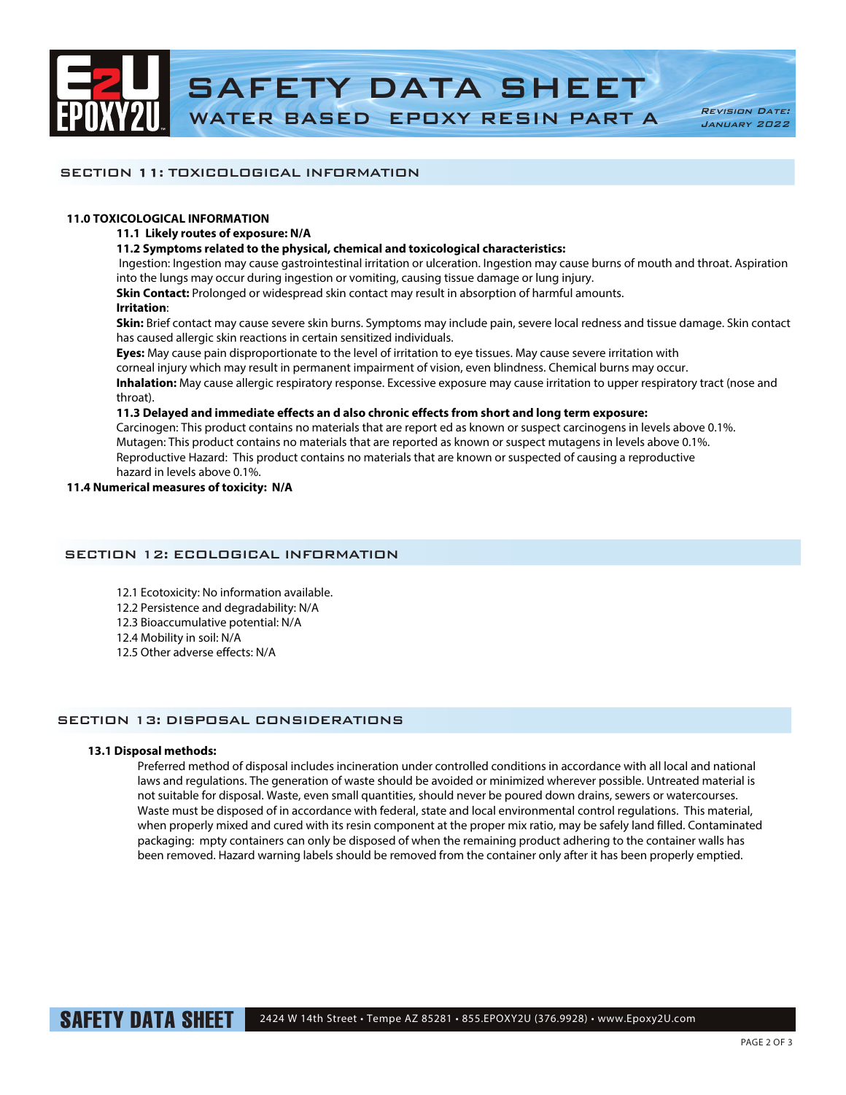

## SECTION 11: TOXICOLOGICAL INFORMATION

### **11.0 TOXICOLOGICAL INFORMATION**

### **11.1 Likely routes of exposure: N/A**

### **11.2 Symptoms related to the physical, chemical and toxicological characteristics:**

 Ingestion: Ingestion may cause gastrointestinal irritation or ulceration. Ingestion may cause burns of mouth and throat. Aspiration into the lungs may occur during ingestion or vomiting, causing tissue damage or lung injury.

**Skin Contact:** Prolonged or widespread skin contact may result in absorption of harmful amounts.

## **Irritation**:

**Skin:** Brief contact may cause severe skin burns. Symptoms may include pain, severe local redness and tissue damage. Skin contact has caused allergic skin reactions in certain sensitized individuals.

**Eyes:** May cause pain disproportionate to the level of irritation to eye tissues. May cause severe irritation with

corneal injury which may result in permanent impairment of vision, even blindness. Chemical burns may occur.

**Inhalation:** May cause allergic respiratory response. Excessive exposure may cause irritation to upper respiratory tract (nose and throat).

## **11.3 Delayed and immediate effects an d also chronic effects from short and long term exposure:**

Carcinogen: This product contains no materials that are report ed as known or suspect carcinogens in levels above 0.1%. Mutagen: This product contains no materials that are reported as known or suspect mutagens in levels above 0.1%. Reproductive Hazard: This product contains no materials that are known or suspected of causing a reproductive hazard in levels above 0.1%.

### **11.4 Numerical measures of toxicity: N/A**

## SECTION 12: ECOLOGICAL INFORMATION

- 12.1 Ecotoxicity: No information available.
- 12.2 Persistence and degradability: N/A
- 12.3 Bioaccumulative potential: N/A
- 12.4 Mobility in soil: N/A
- 12.5 Other adverse effects: N/A

## SECTION 13: DISPOSAL CONSIDERATIONS

## **13.1 Disposal methods:**

Preferred method of disposal includes incineration under controlled conditions in accordance with all local and national laws and regulations. The generation of waste should be avoided or minimized wherever possible. Untreated material is not suitable for disposal. Waste, even small quantities, should never be poured down drains, sewers or watercourses. Waste must be disposed of in accordance with federal, state and local environmental control regulations. This material, when properly mixed and cured with its resin component at the proper mix ratio, may be safely land filled. Contaminated packaging: mpty containers can only be disposed of when the remaining product adhering to the container walls has been removed. Hazard warning labels should be removed from the container only after it has been properly emptied.